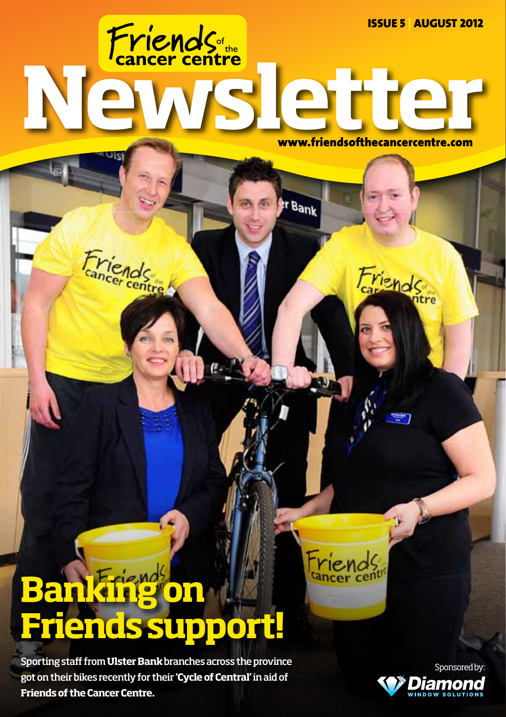Friends<sub>te</sub><br>Newsletter Issue 5 | August 2012

www.friendsofthecancercentre.com

Friends

er Bank

**Cancer** 

# **Banking on Friends support!**

Friends

Sporting staff from **Ulster Bank** branches across the province got on their bikes recently for their **'Cycle of Central'** in aid of **Friends of the Cancer Centre.**

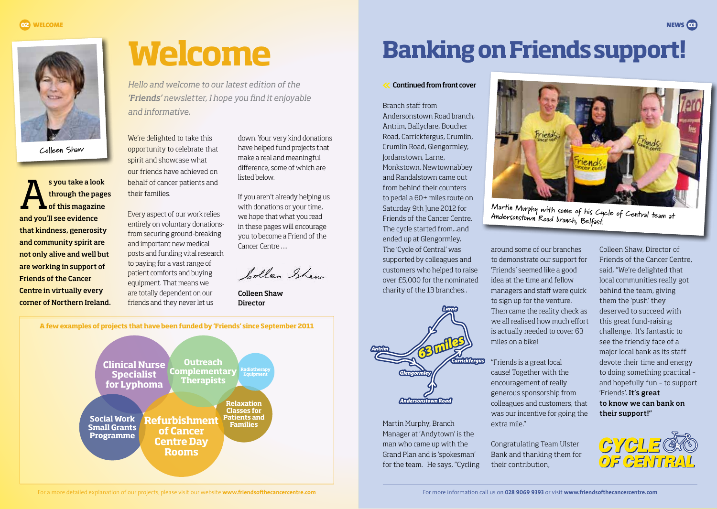

**Colleen Shaw**

s you take a look<br>through the page<br>of this magazine through the pages and you'll see evidence that kindness, generosity and community spirit are not only alive and well but are working in support of Friends of the Cancer Centre in virtually every corner of Northern Ireland. **Welcome**

*Hello and welcome to our latest edition of the 'Friends' newsletter, I hope you find it enjoyable and informative.*

We're delighted to take this opportunity to celebrate that spirit and showcase what our friends have achieved on behalf of cancer patients and their families.

Every aspect of our work relies entirely on voluntary donationsfrom securing ground-breaking and important new medical posts and funding vital research to paying for a vast range of patient comforts and buying equipment. That means we are totally dependent on our friends and they never let us

down. Your very kind donations have helped fund projects that make a real and meaningful difference, some of which are listed below.

If you aren't already helping us with donations or your time, we hope that what you read in these pages will encourage you to become a Friend of the Cancer Centre ….

bolleen Shaw

Colleen Shaw Director



## **Banking on Friends support!**

### Continued from front cover

Branch staff from Andersonstown Road branch, Antrim, Ballyclare, Boucher Road, Carrickfergus, Crumlin, Crumlin Road, Glengormley, Jordanstown, Larne, Monkstown, Newtownabbey and Randalstown came out from behind their counters to pedal a 60+ miles route on Saturday 9th June 2012 for Friends of the Cancer Centre. The cycle started from...and ended up at Glengormley. The 'Cycle of Central' was supported by colleagues and customers who helped to raise over £5,000 for the nominated charity of the 13 branches..



Martin Murphy, Branch Manager at 'Andytown' is the man who came up with the Grand Plan and is 'spokesman' for the team. He says, "Cycling



**Martin Murphy with some of his Cycle of Central team at Andersonstown Road branch, Belfast.**

around some of our branches to demonstrate our support for 'Friends' seemed like a good idea at the time and fellow managers and staff were quick to sign up for the venture. Then came the reality check as we all realised how much effort is actually needed to cover 63 miles on a bike!

"Friends is a great local cause! Together with the encouragement of really generous sponsorship from colleagues and customers, that was our incentive for going the extra mile."

Congratulating Team Ulster Bank and thanking them for their contribution,

Colleen Shaw, Director of Friends of the Cancer Centre, said, "We're delighted that local communities really got behind the team, giving them the 'push' they deserved to succeed with this great fund-raising challenge. It's fantastic to see the friendly face of a major local bank as its staff devote their time and energy to doing something practical – and hopefully fun – to support 'Friends'. It's great to know we can bank on their support!"



For a more detailed explanation of our projects, please visit our website **www.friendsofthecancercentre.com** For more information call us on **028 9069 9393** or visit **www.friendsofthecancercentre.com**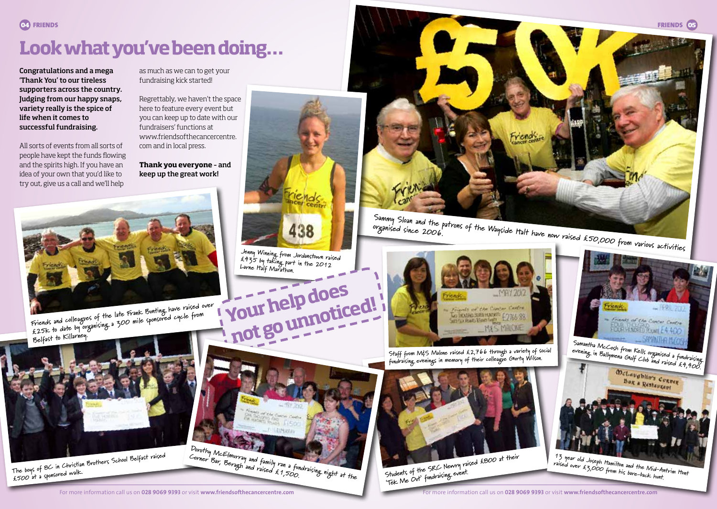## **Look what you've been doing…**

Congratulations and a mega 'Thank You' to our tireless supporters across the country. Judging from our happy snaps, variety really is the spice of life when it comes to successful fundraising.

All sorts of events from all sorts of people have kept the funds flowing and the spirits high. If you have an idea of your own that you'd like to try out, give us a call and we'll help

as much as we can to get your fundraising kick started!

Regrettably, we haven't the space here to feature every event but you can keep up to date with our fundraisers' functions at www.friendsofthecancercentre. com and in local press.

**Thank you everyone** – and keep up the great work!



**Friends and colleagues of the late Frank Bunting have raised over**  Friends and colleagues of the late trains burning.<br>E25k to date, by organising a 300 mile sponsored cycle from **Belfast to Killarney.**



**The boys of 8C in Christian Brothers School Belfast raised £500 at a sponsored walk.**





**Jenny Winning from Jordanstown raised £435 by taking part in the 2012 Larne Half Marathon.**



**organised since 2006.**



**Staff from M&S Malone raised £2,766 through a variety of social fundraising evenings in memory of their colleague Gurty Wilson.**



Students of the *modraising event.*<br>'Tek Me Out' fundraising event.



**Samantha McCosh from Kells organised a fundraising evening in Ballymena Golf Club and raised £4,400.**

**Ban & Restaurant** 

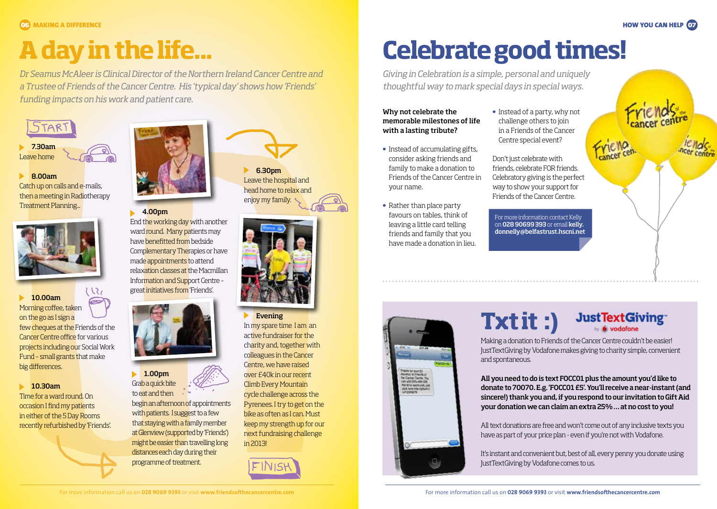**06** MAKING A DIFFERENCE HOW YOU CAN HELP **07**

# **A day in the life...**

*Dr Seamus McAleer is Clinical Director of the Northern Ireland Cancer Centre and a Trustee of Friends of the Cancer Centre. His 'typical day' shows how 'Friends' funding impacts on his work and patient care.*



### 8.00am

Catch up on calls and e-mails, then a meeting in Radiotherapy Treatment Planning...



### **10.00am**

Morning coffee, taken on the go as I sign a few cheques at the Friends of the Cancer Centre office for various projects including our Social Work Fund – small grants that make big differences.

1515

### **10.30am**

Time for a ward round. On occasion I find my patients in either of the 5 Day Rooms recently refurbished by 'Friends'.



### **4.00pm**

End the working day with another ward round. Many patients may have benefitted from bedside Complementary Therapies or have made appointments to attend relaxation classes at the Macmillan Information and Support Centre – great initiatives from 'Friends'.



 $\blacktriangleright$  1.00pm Grab a quick bite to eat and then

begin an afternoon of appointments with patients. I suggest to a few that staying with a family member at Glenview (supported by 'Friends') might be easier than travelling long distances each day during their programme of treatment.

6.30pm Leave the hospital and head home to relax and enjoy my family.



### $\blacktriangleright$  Evening

In my spare time I am an active fundraiser for the charity and, together with colleagues in the Cancer Centre, we have raised over £40k in our recent Climb Every Mountain cycle challenge across the Pyrenees. I try to get on the bike as often as I can. Must keep my strength up for our next fundraising challenge in 2013!



# **Celebrate good times!**

*Giving in Celebration is a simple, personal and uniquely thoughtful way to mark special days in special ways.*

### Why not celebrate the memorable milestones of life with a lasting tribute?

- Instead of accumulating gifts, consider asking friends and family to make a donation to Friends of the Cancer Centre in your name.
- Rather than place party favours on tables, think of leaving a little card telling friends and family that you have made a donation in lieu.



### challenge others to join in a Friends of the Cancer Centre special event?

• Instead of a party, why not

Don't just celebrate with friends, celebrate FOR friends. Celebratory giving is the perfect way to show your support for Friends of the Cancer Centre.

For more information contact Kelly on 028 90699 393 or email kelly. donnelly@belfastrust.hscni.net



Making a donation to Friends of the Cancer Centre couldn't be easier! JustTextGiving by Vodafone makes giving to charity simple, convenient and spontaneous.

All you need to do is text FOCC01 plus the amount you'd like to donate to 70070. E.g. 'FOCC01 £5'. You'll receive a near-instant (and sincere!) thank you and, if you respond to our invitation to Gift Aid your donation we can claim an extra 25% … at no cost to you!

All text donations are free and won't come out of any inclusive texts you have as part of your price plan - even if you're not with Vodafone.

It's instant and convenient but, best of all, every penny you donate using JustTextGiving by Vodafone comes to us.